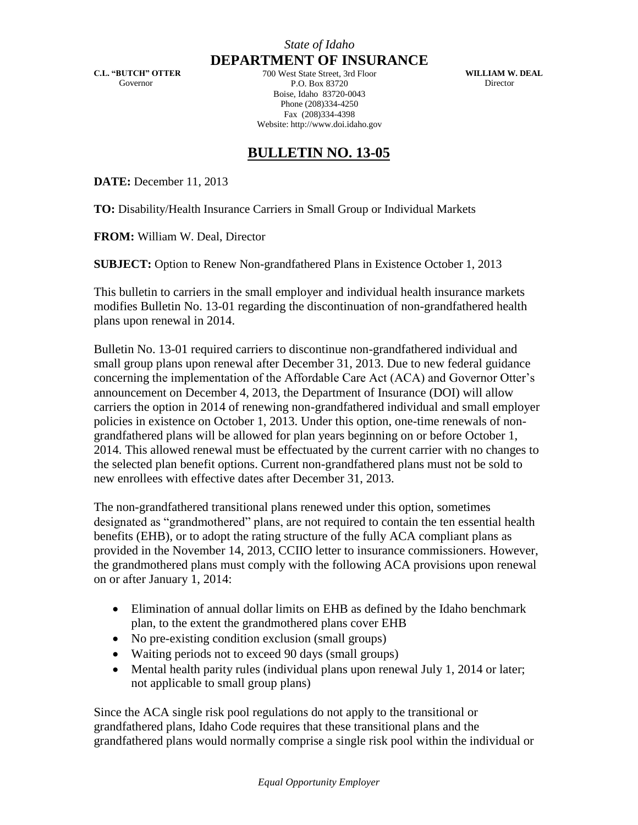**C.L. "BUTCH" OTTER** Governor

**DEPARTMENT OF INSURANCE** 700 West State Street, 3rd Floor P.O. Box 83720 Boise, Idaho 83720-0043 Phone (208)334-4250 Fax (208)334-4398 Website: http://www.doi.idaho.gov

**WILLIAM W. DEAL Director** 

## **BULLETIN NO. 13-05**

**DATE:** December 11, 2013

**TO:** Disability/Health Insurance Carriers in Small Group or Individual Markets

**FROM:** William W. Deal, Director

**SUBJECT:** Option to Renew Non-grandfathered Plans in Existence October 1, 2013

This bulletin to carriers in the small employer and individual health insurance markets modifies Bulletin No. 13-01 regarding the discontinuation of non-grandfathered health plans upon renewal in 2014.

Bulletin No. 13-01 required carriers to discontinue non-grandfathered individual and small group plans upon renewal after December 31, 2013. Due to new federal guidance concerning the implementation of the Affordable Care Act (ACA) and Governor Otter's announcement on December 4, 2013, the Department of Insurance (DOI) will allow carriers the option in 2014 of renewing non-grandfathered individual and small employer policies in existence on October 1, 2013. Under this option, one-time renewals of nongrandfathered plans will be allowed for plan years beginning on or before October 1, 2014. This allowed renewal must be effectuated by the current carrier with no changes to the selected plan benefit options. Current non-grandfathered plans must not be sold to new enrollees with effective dates after December 31, 2013.

The non-grandfathered transitional plans renewed under this option, sometimes designated as "grandmothered" plans, are not required to contain the ten essential health benefits (EHB), or to adopt the rating structure of the fully ACA compliant plans as provided in the November 14, 2013, CCIIO letter to insurance commissioners. However, the grandmothered plans must comply with the following ACA provisions upon renewal on or after January 1, 2014:

- Elimination of annual dollar limits on EHB as defined by the Idaho benchmark plan, to the extent the grandmothered plans cover EHB
- No pre-existing condition exclusion (small groups)
- Waiting periods not to exceed 90 days (small groups)
- Mental health parity rules (individual plans upon renewal July 1, 2014 or later; not applicable to small group plans)

Since the ACA single risk pool regulations do not apply to the transitional or grandfathered plans, Idaho Code requires that these transitional plans and the grandfathered plans would normally comprise a single risk pool within the individual or